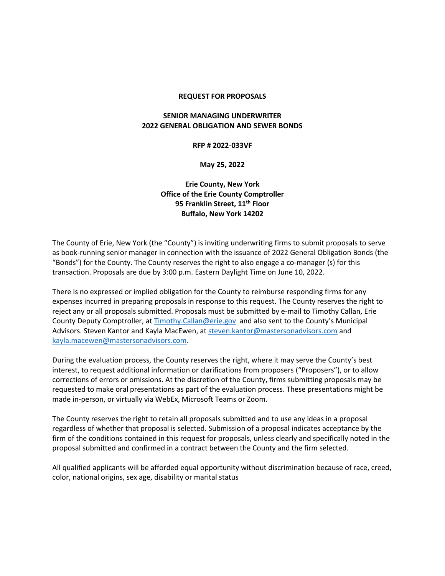#### **REQUEST FOR PROPOSALS**

### **SENIOR MANAGING UNDERWRITER 2022 GENERAL OBLIGATION AND SEWER BONDS**

#### **RFP # 2022-033VF**

**May 25, 2022**

### **Erie County, New York Office of the Erie County Comptroller 95 Franklin Street, 11th Floor Buffalo, New York 14202**

The County of Erie, New York (the "County") is inviting underwriting firms to submit proposals to serve as book-running senior manager in connection with the issuance of 2022 General Obligation Bonds (the "Bonds") for the County. The County reserves the right to also engage a co-manager (s) for this transaction. Proposals are due by 3:00 p.m. Eastern Daylight Time on June 10, 2022.

There is no expressed or implied obligation for the County to reimburse responding firms for any expenses incurred in preparing proposals in response to this request. The County reserves the right to reject any or all proposals submitted. Proposals must be submitted by e-mail to Timothy Callan, Erie County Deputy Comptroller, at [Timothy.Callan@erie.gov](mailto:Timothy.Callan@erie.gov) and also sent to the County's Municipal Advisors. Steven Kantor and Kayla MacEwen, a[t steven.kantor@mastersonadvisors.com](mailto:steven.kantor@mastersonadvisors.com) and [kayla.macewen@mastersonadvisors.com.](mailto:kayla.macewen@mastersonadvisors.com)

During the evaluation process, the County reserves the right, where it may serve the County's best interest, to request additional information or clarifications from proposers ("Proposers"), or to allow corrections of errors or omissions. At the discretion of the County, firms submitting proposals may be requested to make oral presentations as part of the evaluation process. These presentations might be made in-person, or virtually via WebEx, Microsoft Teams or Zoom.

The County reserves the right to retain all proposals submitted and to use any ideas in a proposal regardless of whether that proposal is selected. Submission of a proposal indicates acceptance by the firm of the conditions contained in this request for proposals, unless clearly and specifically noted in the proposal submitted and confirmed in a contract between the County and the firm selected.

All qualified applicants will be afforded equal opportunity without discrimination because of race, creed, color, national origins, sex age, disability or marital status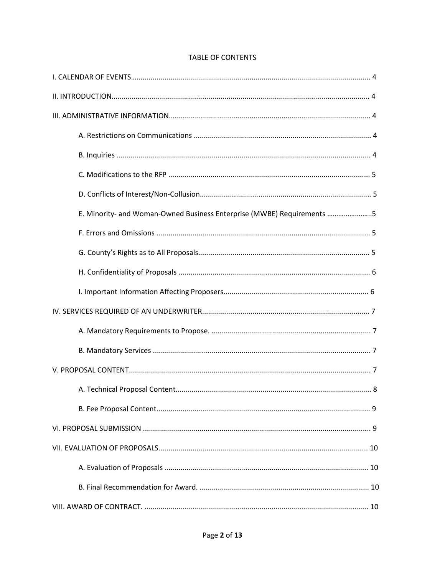| E. Minority- and Woman-Owned Business Enterprise (MWBE) Requirements 5 |
|------------------------------------------------------------------------|
|                                                                        |
|                                                                        |
|                                                                        |
|                                                                        |
|                                                                        |
|                                                                        |
|                                                                        |
|                                                                        |
|                                                                        |
|                                                                        |
|                                                                        |
|                                                                        |
|                                                                        |
|                                                                        |
|                                                                        |

# **TABLE OF CONTENTS**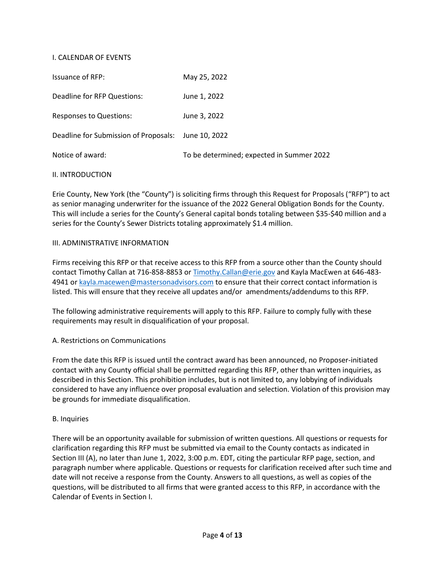### I. CALENDAR OF EVENTS

| <b>Issuance of RFP:</b>               | May 25, 2022                              |
|---------------------------------------|-------------------------------------------|
| Deadline for RFP Questions:           | June 1, 2022                              |
| <b>Responses to Questions:</b>        | June 3, 2022                              |
| Deadline for Submission of Proposals: | June 10, 2022                             |
| Notice of award:                      | To be determined; expected in Summer 2022 |

### II. INTRODUCTION

Erie County, New York (the "County") is soliciting firms through this Request for Proposals ("RFP") to act as senior managing underwriter for the issuance of the 2022 General Obligation Bonds for the County. This will include a series for the County's General capital bonds totaling between \$35-\$40 million and a series for the County's Sewer Districts totaling approximately \$1.4 million.

### III. ADMINISTRATIVE INFORMATION

Firms receiving this RFP or that receive access to this RFP from a source other than the County should contact Timothy Callan at 716-858-8853 o[r Timothy.Callan@erie.gov](mailto:Timothy.Callan@erie.gov) and Kayla MacEwen at 646-4834941 or [kayla.macewen@mastersonadvisors.com](mailto:kayla.macewen@mastersonadvisors.com) to ensure that their correct contact information is listed. This will ensure that they receive all updates and/or amendments/addendums to this RFP.

The following administrative requirements will apply to this RFP. Failure to comply fully with these requirements may result in disqualification of your proposal.

### A. Restrictions on Communications

From the date this RFP is issued until the contract award has been announced, no Proposer-initiated contact with any County official shall be permitted regarding this RFP, other than written inquiries, as described in this Section. This prohibition includes, but is not limited to, any lobbying of individuals considered to have any influence over proposal evaluation and selection. Violation of this provision may be grounds for immediate disqualification.

### B. Inquiries

There will be an opportunity available for submission of written questions. All questions or requests for clarification regarding this RFP must be submitted via email to the County contacts as indicated in Section III (A), no later than June 1, 2022, 3:00 p.m. EDT, citing the particular RFP page, section, and paragraph number where applicable. Questions or requests for clarification received after such time and date will not receive a response from the County. Answers to all questions, as well as copies of the questions, will be distributed to all firms that were granted access to this RFP, in accordance with the Calendar of Events in Section I.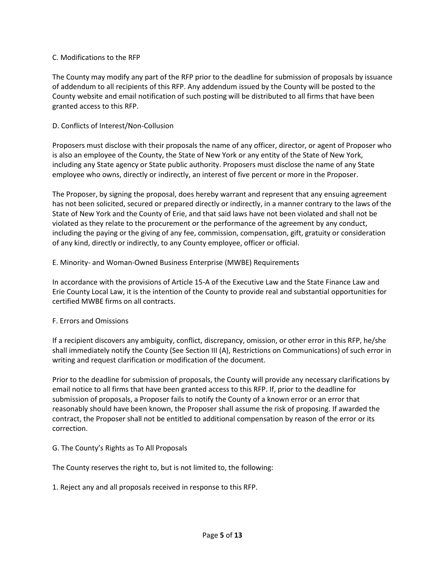### C. Modifications to the RFP

The County may modify any part of the RFP prior to the deadline for submission of proposals by issuance of addendum to all recipients of this RFP. Any addendum issued by the County will be posted to the County website and email notification of such posting will be distributed to all firms that have been granted access to this RFP.

### D. Conflicts of Interest/Non-Collusion

Proposers must disclose with their proposals the name of any officer, director, or agent of Proposer who is also an employee of the County, the State of New York or any entity of the State of New York, including any State agency or State public authority. Proposers must disclose the name of any State employee who owns, directly or indirectly, an interest of five percent or more in the Proposer.

The Proposer, by signing the proposal, does hereby warrant and represent that any ensuing agreement has not been solicited, secured or prepared directly or indirectly, in a manner contrary to the laws of the State of New York and the County of Erie, and that said laws have not been violated and shall not be violated as they relate to the procurement or the performance of the agreement by any conduct, including the paying or the giving of any fee, commission, compensation, gift, gratuity or consideration of any kind, directly or indirectly, to any County employee, officer or official.

### E. Minority- and Woman-Owned Business Enterprise (MWBE) Requirements

In accordance with the provisions of Article 15-A of the Executive Law and the State Finance Law and Erie County Local Law, it is the intention of the County to provide real and substantial opportunities for certified MWBE firms on all contracts.

### F. Errors and Omissions

If a recipient discovers any ambiguity, conflict, discrepancy, omission, or other error in this RFP, he/she shall immediately notify the County (See Section III (A), Restrictions on Communications) of such error in writing and request clarification or modification of the document.

Prior to the deadline for submission of proposals, the County will provide any necessary clarifications by email notice to all firms that have been granted access to this RFP. If, prior to the deadline for submission of proposals, a Proposer fails to notify the County of a known error or an error that reasonably should have been known, the Proposer shall assume the risk of proposing. If awarded the contract, the Proposer shall not be entitled to additional compensation by reason of the error or its correction.

## G. The County's Rights as To All Proposals

The County reserves the right to, but is not limited to, the following:

1. Reject any and all proposals received in response to this RFP.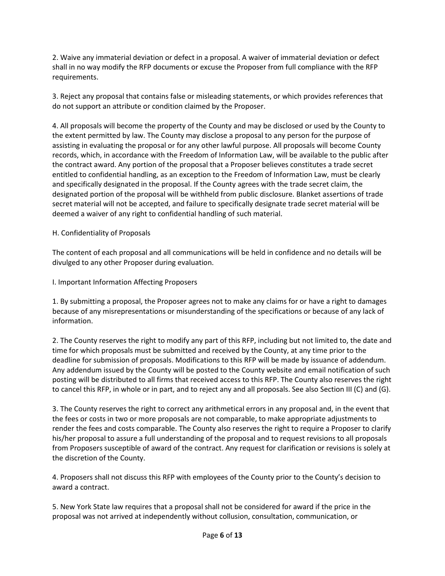2. Waive any immaterial deviation or defect in a proposal. A waiver of immaterial deviation or defect shall in no way modify the RFP documents or excuse the Proposer from full compliance with the RFP requirements.

3. Reject any proposal that contains false or misleading statements, or which provides references that do not support an attribute or condition claimed by the Proposer.

4. All proposals will become the property of the County and may be disclosed or used by the County to the extent permitted by law. The County may disclose a proposal to any person for the purpose of assisting in evaluating the proposal or for any other lawful purpose. All proposals will become County records, which, in accordance with the Freedom of Information Law, will be available to the public after the contract award. Any portion of the proposal that a Proposer believes constitutes a trade secret entitled to confidential handling, as an exception to the Freedom of Information Law, must be clearly and specifically designated in the proposal. If the County agrees with the trade secret claim, the designated portion of the proposal will be withheld from public disclosure. Blanket assertions of trade secret material will not be accepted, and failure to specifically designate trade secret material will be deemed a waiver of any right to confidential handling of such material.

## H. Confidentiality of Proposals

The content of each proposal and all communications will be held in confidence and no details will be divulged to any other Proposer during evaluation.

I. Important Information Affecting Proposers

1. By submitting a proposal, the Proposer agrees not to make any claims for or have a right to damages because of any misrepresentations or misunderstanding of the specifications or because of any lack of information.

2. The County reserves the right to modify any part of this RFP, including but not limited to, the date and time for which proposals must be submitted and received by the County, at any time prior to the deadline for submission of proposals. Modifications to this RFP will be made by issuance of addendum. Any addendum issued by the County will be posted to the County website and email notification of such posting will be distributed to all firms that received access to this RFP. The County also reserves the right to cancel this RFP, in whole or in part, and to reject any and all proposals. See also Section III (C) and (G).

3. The County reserves the right to correct any arithmetical errors in any proposal and, in the event that the fees or costs in two or more proposals are not comparable, to make appropriate adjustments to render the fees and costs comparable. The County also reserves the right to require a Proposer to clarify his/her proposal to assure a full understanding of the proposal and to request revisions to all proposals from Proposers susceptible of award of the contract. Any request for clarification or revisions is solely at the discretion of the County.

4. Proposers shall not discuss this RFP with employees of the County prior to the County's decision to award a contract.

5. New York State law requires that a proposal shall not be considered for award if the price in the proposal was not arrived at independently without collusion, consultation, communication, or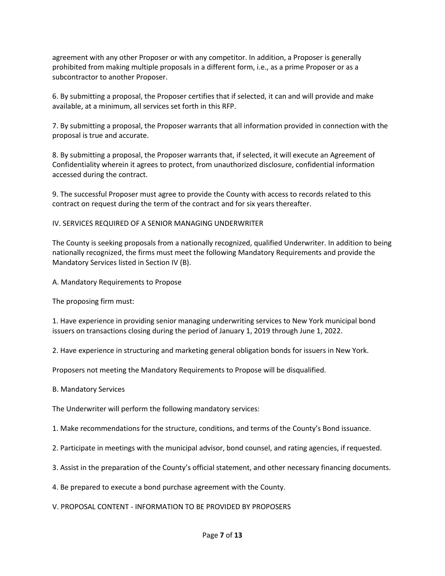agreement with any other Proposer or with any competitor. In addition, a Proposer is generally prohibited from making multiple proposals in a different form, i.e., as a prime Proposer or as a subcontractor to another Proposer.

6. By submitting a proposal, the Proposer certifies that if selected, it can and will provide and make available, at a minimum, all services set forth in this RFP.

7. By submitting a proposal, the Proposer warrants that all information provided in connection with the proposal is true and accurate.

8. By submitting a proposal, the Proposer warrants that, if selected, it will execute an Agreement of Confidentiality wherein it agrees to protect, from unauthorized disclosure, confidential information accessed during the contract.

9. The successful Proposer must agree to provide the County with access to records related to this contract on request during the term of the contract and for six years thereafter.

IV. SERVICES REQUIRED OF A SENIOR MANAGING UNDERWRITER

The County is seeking proposals from a nationally recognized, qualified Underwriter. In addition to being nationally recognized, the firms must meet the following Mandatory Requirements and provide the Mandatory Services listed in Section IV (B).

A. Mandatory Requirements to Propose

The proposing firm must:

1. Have experience in providing senior managing underwriting services to New York municipal bond issuers on transactions closing during the period of January 1, 2019 through June 1, 2022.

2. Have experience in structuring and marketing general obligation bonds for issuers in New York.

Proposers not meeting the Mandatory Requirements to Propose will be disqualified.

B. Mandatory Services

The Underwriter will perform the following mandatory services:

- 1. Make recommendations for the structure, conditions, and terms of the County's Bond issuance.
- 2. Participate in meetings with the municipal advisor, bond counsel, and rating agencies, if requested.
- 3. Assist in the preparation of the County's official statement, and other necessary financing documents.
- 4. Be prepared to execute a bond purchase agreement with the County.
- V. PROPOSAL CONTENT INFORMATION TO BE PROVIDED BY PROPOSERS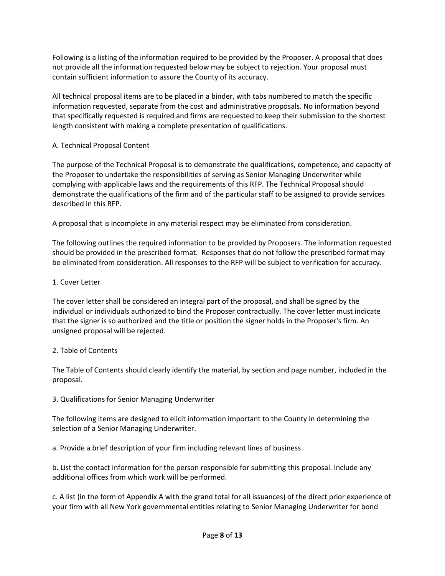Following is a listing of the information required to be provided by the Proposer. A proposal that does not provide all the information requested below may be subject to rejection. Your proposal must contain sufficient information to assure the County of its accuracy.

All technical proposal items are to be placed in a binder, with tabs numbered to match the specific information requested, separate from the cost and administrative proposals. No information beyond that specifically requested is required and firms are requested to keep their submission to the shortest length consistent with making a complete presentation of qualifications.

## A. Technical Proposal Content

The purpose of the Technical Proposal is to demonstrate the qualifications, competence, and capacity of the Proposer to undertake the responsibilities of serving as Senior Managing Underwriter while complying with applicable laws and the requirements of this RFP. The Technical Proposal should demonstrate the qualifications of the firm and of the particular staff to be assigned to provide services described in this RFP.

A proposal that is incomplete in any material respect may be eliminated from consideration.

The following outlines the required information to be provided by Proposers. The information requested should be provided in the prescribed format. Responses that do not follow the prescribed format may be eliminated from consideration. All responses to the RFP will be subject to verification for accuracy.

## 1. Cover Letter

The cover letter shall be considered an integral part of the proposal, and shall be signed by the individual or individuals authorized to bind the Proposer contractually. The cover letter must indicate that the signer is so authorized and the title or position the signer holds in the Proposer's firm. An unsigned proposal will be rejected.

## 2. Table of Contents

The Table of Contents should clearly identify the material, by section and page number, included in the proposal.

## 3. Qualifications for Senior Managing Underwriter

The following items are designed to elicit information important to the County in determining the selection of a Senior Managing Underwriter.

a. Provide a brief description of your firm including relevant lines of business.

b. List the contact information for the person responsible for submitting this proposal. Include any additional offices from which work will be performed.

c. A list (in the form of Appendix A with the grand total for all issuances) of the direct prior experience of your firm with all New York governmental entities relating to Senior Managing Underwriter for bond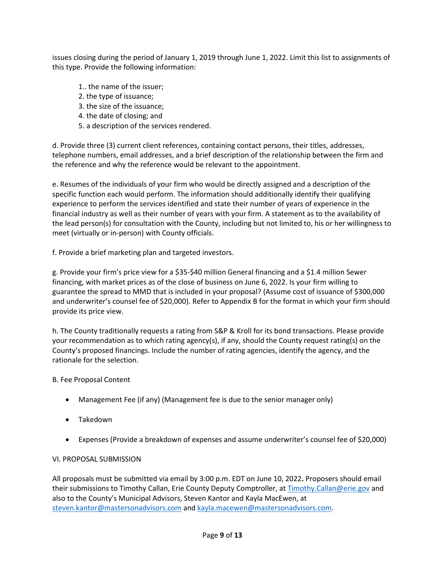issues closing during the period of January 1, 2019 through June 1, 2022. Limit this list to assignments of this type. Provide the following information:

- 1.. the name of the issuer;
- 2. the type of issuance;
- 3. the size of the issuance;
- 4. the date of closing; and
- 5. a description of the services rendered.

d. Provide three (3) current client references, containing contact persons, their titles, addresses, telephone numbers, email addresses, and a brief description of the relationship between the firm and the reference and why the reference would be relevant to the appointment.

e. Resumes of the individuals of your firm who would be directly assigned and a description of the specific function each would perform. The information should additionally identify their qualifying experience to perform the services identified and state their number of years of experience in the financial industry as well as their number of years with your firm. A statement as to the availability of the lead person(s) for consultation with the County, including but not limited to, his or her willingness to meet (virtually or in-person) with County officials.

f. Provide a brief marketing plan and targeted investors.

g. Provide your firm's price view for a \$35-\$40 million General financing and a \$1.4 million Sewer financing, with market prices as of the close of business on June 6, 2022. Is your firm willing to guarantee the spread to MMD that is included in your proposal? (Assume cost of issuance of \$300,000 and underwriter's counsel fee of \$20,000). Refer to Appendix B for the format in which your firm should provide its price view.

h. The County traditionally requests a rating from S&P & Kroll for its bond transactions. Please provide your recommendation as to which rating agency(s), if any, should the County request rating(s) on the County's proposed financings. Include the number of rating agencies, identify the agency, and the rationale for the selection.

## B. Fee Proposal Content

- Management Fee (if any) (Management fee is due to the senior manager only)
- Takedown
- Expenses (Provide a breakdown of expenses and assume underwriter's counsel fee of \$20,000)

## VI. PROPOSAL SUBMISSION

All proposals must be submitted via email by 3:00 p.m. EDT on June 10, 2022**.** Proposers should email their submissions to Timothy Callan, Erie County Deputy Comptroller, at [Timothy.Callan@erie.gov](mailto:Timothy.Callan@erie.gov) and also to the County's Municipal Advisors, Steven Kantor and Kayla MacEwen, at [steven.kantor@mastersonadvisors.com](mailto:steven.kantor@mastersonadvisors.com) an[d kayla.macewen@mastersonadvisors.com.](mailto:kayla.macewen@mastersonadvisors.com)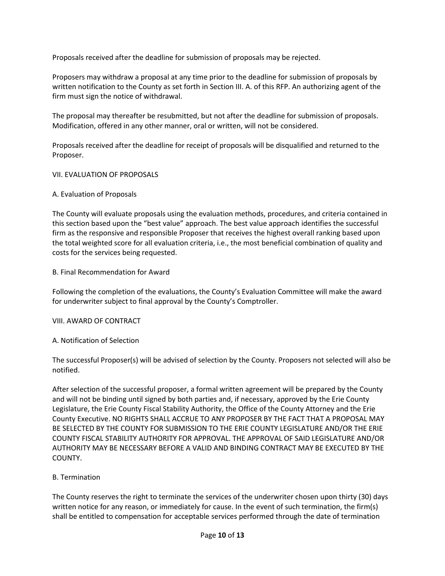Proposals received after the deadline for submission of proposals may be rejected.

Proposers may withdraw a proposal at any time prior to the deadline for submission of proposals by written notification to the County as set forth in Section III. A. of this RFP. An authorizing agent of the firm must sign the notice of withdrawal.

The proposal may thereafter be resubmitted, but not after the deadline for submission of proposals. Modification, offered in any other manner, oral or written, will not be considered.

Proposals received after the deadline for receipt of proposals will be disqualified and returned to the Proposer.

### VII. EVALUATION OF PROPOSALS

### A. Evaluation of Proposals

The County will evaluate proposals using the evaluation methods, procedures, and criteria contained in this section based upon the "best value" approach. The best value approach identifies the successful firm as the responsive and responsible Proposer that receives the highest overall ranking based upon the total weighted score for all evaluation criteria, i.e., the most beneficial combination of quality and costs for the services being requested.

### B. Final Recommendation for Award

Following the completion of the evaluations, the County's Evaluation Committee will make the award for underwriter subject to final approval by the County's Comptroller.

#### VIII. AWARD OF CONTRACT

### A. Notification of Selection

The successful Proposer(s) will be advised of selection by the County. Proposers not selected will also be notified.

After selection of the successful proposer, a formal written agreement will be prepared by the County and will not be binding until signed by both parties and, if necessary, approved by the Erie County Legislature, the Erie County Fiscal Stability Authority, the Office of the County Attorney and the Erie County Executive. NO RIGHTS SHALL ACCRUE TO ANY PROPOSER BY THE FACT THAT A PROPOSAL MAY BE SELECTED BY THE COUNTY FOR SUBMISSION TO THE ERIE COUNTY LEGISLATURE AND/OR THE ERIE COUNTY FISCAL STABILITY AUTHORITY FOR APPROVAL. THE APPROVAL OF SAID LEGISLATURE AND/OR AUTHORITY MAY BE NECESSARY BEFORE A VALID AND BINDING CONTRACT MAY BE EXECUTED BY THE COUNTY.

### B. Termination

The County reserves the right to terminate the services of the underwriter chosen upon thirty (30) days written notice for any reason, or immediately for cause. In the event of such termination, the firm(s) shall be entitled to compensation for acceptable services performed through the date of termination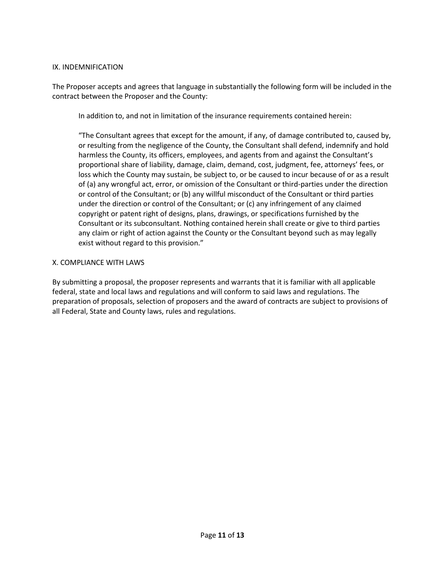### IX. INDEMNIFICATION

The Proposer accepts and agrees that language in substantially the following form will be included in the contract between the Proposer and the County:

In addition to, and not in limitation of the insurance requirements contained herein:

"The Consultant agrees that except for the amount, if any, of damage contributed to, caused by, or resulting from the negligence of the County, the Consultant shall defend, indemnify and hold harmless the County, its officers, employees, and agents from and against the Consultant's proportional share of liability, damage, claim, demand, cost, judgment, fee, attorneys' fees, or loss which the County may sustain, be subject to, or be caused to incur because of or as a result of (a) any wrongful act, error, or omission of the Consultant or third-parties under the direction or control of the Consultant; or (b) any willful misconduct of the Consultant or third parties under the direction or control of the Consultant; or (c) any infringement of any claimed copyright or patent right of designs, plans, drawings, or specifications furnished by the Consultant or its subconsultant. Nothing contained herein shall create or give to third parties any claim or right of action against the County or the Consultant beyond such as may legally exist without regard to this provision."

#### X. COMPLIANCE WITH LAWS

By submitting a proposal, the proposer represents and warrants that it is familiar with all applicable federal, state and local laws and regulations and will conform to said laws and regulations. The preparation of proposals, selection of proposers and the award of contracts are subject to provisions of all Federal, State and County laws, rules and regulations.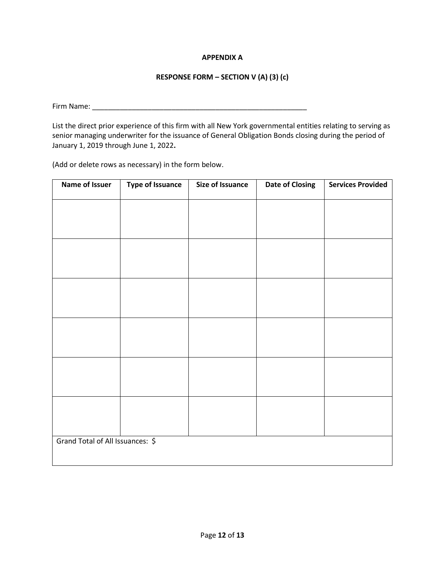### **APPENDIX A**

### **RESPONSE FORM – SECTION V (A) (3) (c)**

Firm Name: \_\_\_\_\_\_\_\_\_\_\_\_\_\_\_\_\_\_\_\_\_\_\_\_\_\_\_\_\_\_\_\_\_\_\_\_\_\_\_\_\_\_\_\_\_\_\_\_\_\_\_\_\_\_

List the direct prior experience of this firm with all New York governmental entities relating to serving as senior managing underwriter for the issuance of General Obligation Bonds closing during the period of January 1, 2019 through June 1, 2022**.**

(Add or delete rows as necessary) in the form below.

| <b>Name of Issuer</b>            | <b>Type of Issuance</b> | <b>Size of Issuance</b> | <b>Date of Closing</b> | <b>Services Provided</b> |  |
|----------------------------------|-------------------------|-------------------------|------------------------|--------------------------|--|
|                                  |                         |                         |                        |                          |  |
|                                  |                         |                         |                        |                          |  |
|                                  |                         |                         |                        |                          |  |
|                                  |                         |                         |                        |                          |  |
|                                  |                         |                         |                        |                          |  |
|                                  |                         |                         |                        |                          |  |
|                                  |                         |                         |                        |                          |  |
|                                  |                         |                         |                        |                          |  |
|                                  |                         |                         |                        |                          |  |
|                                  |                         |                         |                        |                          |  |
|                                  |                         |                         |                        |                          |  |
|                                  |                         |                         |                        |                          |  |
| Grand Total of All Issuances: \$ |                         |                         |                        |                          |  |
|                                  |                         |                         |                        |                          |  |